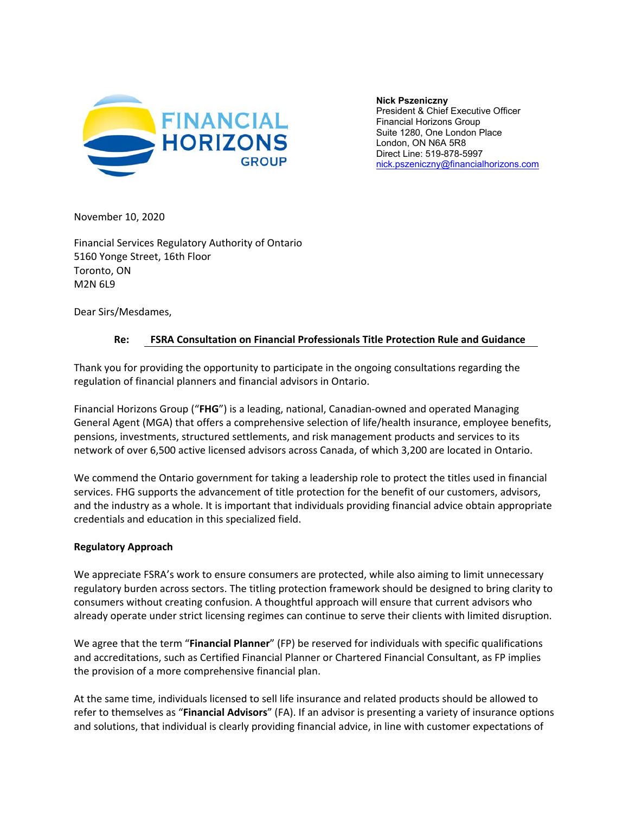

**Nick Pszeniczny**  President & Chief Executive Officer Financial Horizons Group Suite 1280, One London Place London, ON N6A 5R8 Direct Line: 519-878-5997 nick.pszeniczny@financialhorizons.com

November 10, 2020

Financial Services Regulatory Authority of Ontario 5160 Yonge Street, 16th Floor Toronto, ON M2N 6L9

Dear Sirs/Mesdames,

## **Re: FSRA Consultation on Financial Professionals Title Protection Rule and Guidance**

Thank you for providing the opportunity to participate in the ongoing consultations regarding the regulation of financial planners and financial advisors in Ontario.

Financial Horizons Group ("**FHG**") is a leading, national, Canadian‐owned and operated Managing General Agent (MGA) that offers a comprehensive selection of life/health insurance, employee benefits, pensions, investments, structured settlements, and risk management products and services to its network of over 6,500 active licensed advisors across Canada, of which 3,200 are located in Ontario.

We commend the Ontario government for taking a leadership role to protect the titles used in financial services. FHG supports the advancement of title protection for the benefit of our customers, advisors, and the industry as a whole. It is important that individuals providing financial advice obtain appropriate credentials and education in this specialized field.

## **Regulatory Approach**

We appreciate FSRA's work to ensure consumers are protected, while also aiming to limit unnecessary regulatory burden across sectors. The titling protection framework should be designed to bring clarity to consumers without creating confusion. A thoughtful approach will ensure that current advisors who already operate under strict licensing regimes can continue to serve their clients with limited disruption.

We agree that the term "**Financial Planner**" (FP) be reserved for individuals with specific qualifications and accreditations, such as Certified Financial Planner or Chartered Financial Consultant, as FP implies the provision of a more comprehensive financial plan.

At the same time, individuals licensed to sell life insurance and related products should be allowed to refer to themselves as "**Financial Advisors**" (FA). If an advisor is presenting a variety of insurance options and solutions, that individual is clearly providing financial advice, in line with customer expectations of